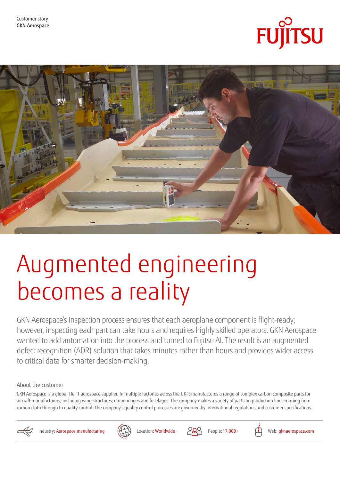



# Augmented engineering becomes a reality

GKN Aerospace's inspection process ensures that each aeroplane component is flight-ready; however, inspecting each part can take hours and requires highly skilled operators. GKN Aerospace wanted to add automation into the process and turned to Fujitsu AI. The result is an augmented defect recognition (ADR) solution that takes minutes rather than hours and provides wider access to critical data for smarter decision-making.

About the customer

GKN Aerospace is a global Tier 1 aerospace supplier. In multiple factories across the UK it manufactures a range of complex carbon composite parts for aircraft manufacturers, including wing structures, empennages and fuselages. The company makes a variety of parts on production lines running from carbon cloth through to quality control. The company's quality control processes are governed by international regulations and customer specifications.